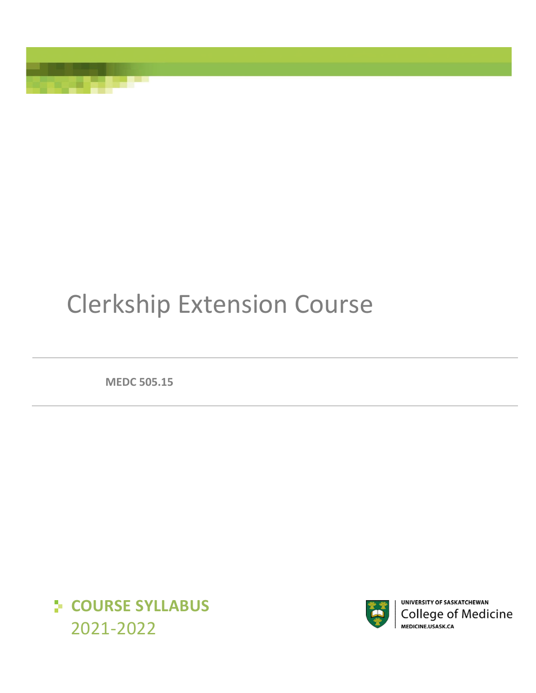# Clerkship Extension Course

**MEDC 505.15**





UNIVERSITY OF SASKATCHEWAN **College of Medicine** MEDICINE.USASK.CA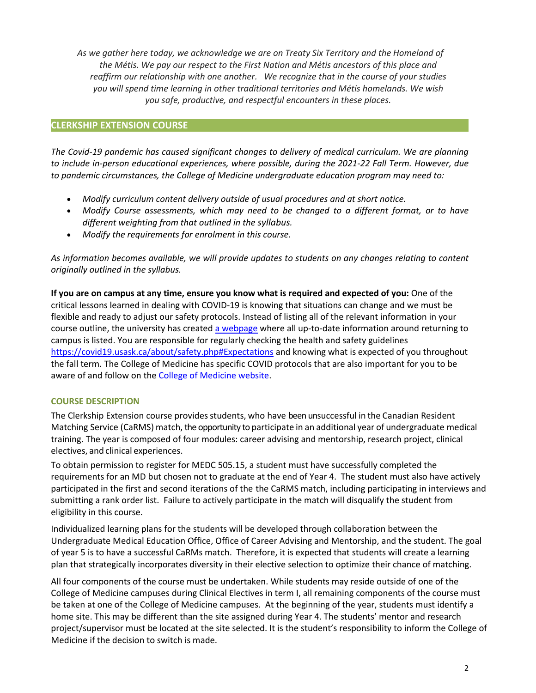*As we gather here today, we acknowledge we are on Treaty Six Territory and the Homeland of the Métis. We pay our respect to the First Nation and Métis ancestors of this place and reaffirm our relationship with one another. We recognize that in the course of your studies you will spend time learning in other traditional territories and Métis homelands. We wish you safe, productive, and respectful encounters in these places.*

# **CLERKSHIP EXTENSION COURSE**

*The Covid-19 pandemic has caused significant changes to delivery of medical curriculum. We are planning to include in-person educational experiences, where possible, during the 2021-22 Fall Term. However, due to pandemic circumstances, the College of Medicine undergraduate education program may need to:* 

- *Modify curriculum content delivery outside of usual procedures and at short notice.*
- *Modify Course assessments, which may need to be changed to a different format, or to have different weighting from that outlined in the syllabus.*
- *Modify the requirements for enrolment in this course.*

*As information becomes available, we will provide updates to students on any changes relating to content originally outlined in the syllabus.* 

**If you are on campus at any time, ensure you know what is required and expected of you:** One of the critical lessons learned in dealing with COVID-19 is knowing that situations can change and we must be flexible and ready to adjust our safety protocols. Instead of listing all of the relevant information in your course outline, the university has create[d a webpage](https://covid19.usask.ca/students.php#Oncampusessentials) where all up-to-date information around returning to campus is listed. You are responsible for regularly checking the health and safety guidelines <https://covid19.usask.ca/about/safety.php#Expectations>and knowing what is expected of you throughout the fall term. The College of Medicine has specific COVID protocols that are also important for you to be aware of and follow on the [College of Medicine website.](https://medicine.usask.ca/students/covid19.php)

# **COURSE DESCRIPTION**

The Clerkship Extension course provides students, who have been unsuccessful in the Canadian Resident Matching Service (CaRMS) match, the opportunity to participate in an additional year of undergraduate medical training. The year is composed of four modules: career advising and mentorship, research project, clinical electives, and clinical experiences.

To obtain permission to register for MEDC 505.15, a student must have successfully completed the requirements for an MD but chosen not to graduate at the end of Year 4. The student must also have actively participated in the first and second iterations of the the CaRMS match, including participating in interviews and submitting a rank order list. Failure to actively participate in the match will disqualify the student from eligibility in this course.

Individualized learning plans for the students will be developed through collaboration between the Undergraduate Medical Education Office, Office of Career Advising and Mentorship, and the student. The goal of year 5 is to have a successful CaRMs match. Therefore, it is expected that students will create a learning plan that strategically incorporates diversity in their elective selection to optimize their chance of matching.

All four components of the course must be undertaken. While students may reside outside of one of the College of Medicine campuses during Clinical Electives in term I, all remaining components of the course must be taken at one of the College of Medicine campuses. At the beginning of the year, students must identify a home site. This may be different than the site assigned during Year 4. The students' mentor and research project/supervisor must be located at the site selected. It is the student's responsibility to inform the College of Medicine if the decision to switch is made.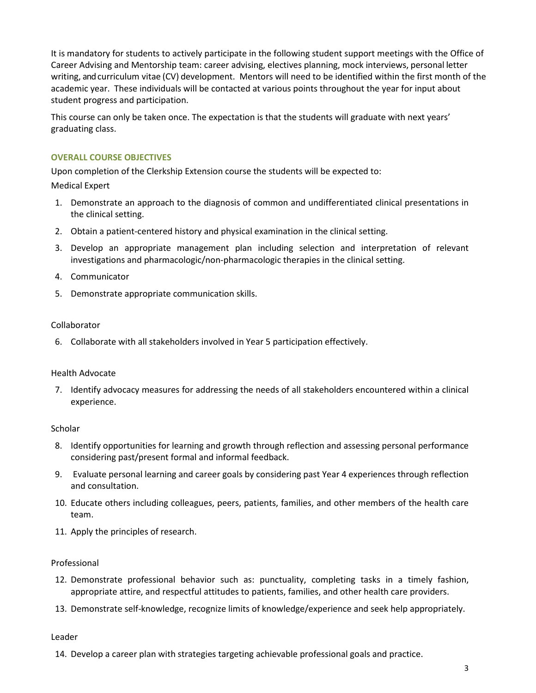It is mandatory for students to actively participate in the following student support meetings with the Office of Career Advising and Mentorship team: career advising, electives planning, mock interviews, personal letter writing, and curriculum vitae (CV) development. Mentors will need to be identified within the first month of the academic year. These individuals will be contacted at various points throughout the year for input about student progress and participation.

This course can only be taken once. The expectation is that the students will graduate with next years' graduating class.

# **OVERALL COURSE OBJECTIVES**

Upon completion of the Clerkship Extension course the students will be expected to:

Medical Expert

- 1. Demonstrate an approach to the diagnosis of common and undifferentiated clinical presentations in the clinical setting.
- 2. Obtain a patient-centered history and physical examination in the clinical setting.
- 3. Develop an appropriate management plan including selection and interpretation of relevant investigations and pharmacologic/non-pharmacologic therapies in the clinical setting.
- 4. Communicator
- 5. Demonstrate appropriate communication skills.

# Collaborator

6. Collaborate with all stakeholders involved in Year 5 participation effectively.

# Health Advocate

7. Identify advocacy measures for addressing the needs of all stakeholders encountered within a clinical experience.

# **Scholar**

- 8. Identify opportunities for learning and growth through reflection and assessing personal performance considering past/present formal and informal feedback.
- 9. Evaluate personal learning and career goals by considering past Year 4 experiences through reflection and consultation.
- 10. Educate others including colleagues, peers, patients, families, and other members of the health care team.
- 11. Apply the principles of research.

# Professional

- 12. Demonstrate professional behavior such as: punctuality, completing tasks in a timely fashion, appropriate attire, and respectful attitudes to patients, families, and other health care providers.
- 13. Demonstrate self-knowledge, recognize limits of knowledge/experience and seek help appropriately.

# Leader

14. Develop a career plan with strategies targeting achievable professional goals and practice.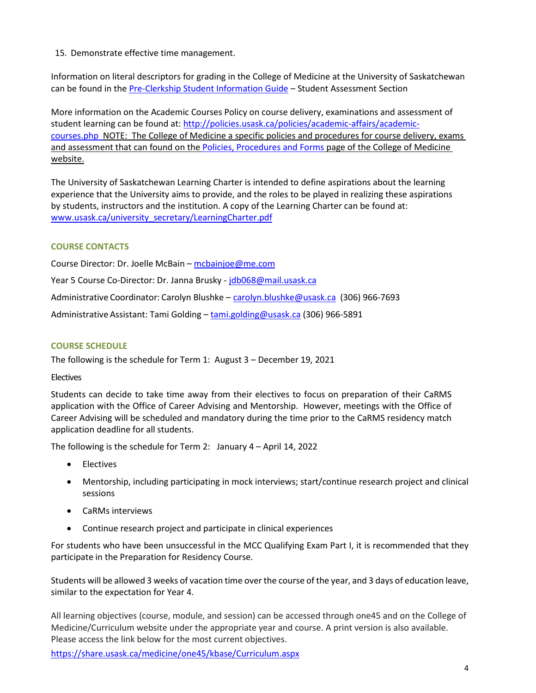15. Demonstrate effective time management.

Information on literal descriptors for grading in the College of Medicine at the University of Saskatchewan can be found in th[e Pre-Clerkship Student Information Guide](https://medicine.usask.ca/documents/ugme/syllabi/student-guide-to-pre-clerkship.pdf) – Student Assessment Section

More information on the Academic Courses Policy on course delivery, examinations and assessment of student learning can be found at: [http://policies.usask.ca/policies/academic-affairs/academic](http://policies.usask.ca/policies/academic-affairs/academic-courses.php)[courses.php](http://policies.usask.ca/policies/academic-affairs/academic-courses.php) NOTE: The College of Medicine a specific policies and procedures for course delivery, exams and assessment that can found on the [Policies, Procedures and Forms](https://medicine.usask.ca/students/undergraduate/policies.php) page of the College of Medicine website.

The University of Saskatchewan Learning Charter is intended to define aspirations about the learning experience that the University aims to provide, and the roles to be played in realizing these aspirations by students, instructors and the institution. A copy of the Learning Charter can be found at: [www.usask.ca/university\\_secretary/LearningCharter.pdf](http://www.usask.ca/university_secretary/LearningCharter.pdf)

# **COURSE CONTACTS**

Course Director: Dr. Joelle McBain [– mcbainjoe@me.com](mailto:mcbainjoe@me.com) 

Year 5 Course Co-Director: Dr. Janna Brusky [- jdb068@mail.usask.ca](mailto:jdb068@mail.usask.ca) 

Administrative Coordinator: Carolyn Blushke - [carolyn.blushke@usask.ca](mailto:carolyn.blushke@usask.ca) (306) 966-7693

Administrative Assistant: Tami Golding - tami.golding@usask.ca (306) 966-5891

## **COURSE SCHEDULE**

The following is the schedule for Term 1: August 3 – December 19, 2021

### **Electives**

Students can decide to take time away from their electives to focus on preparation of their CaRMS application with the Office of Career Advising and Mentorship. However, meetings with the Office of Career Advising will be scheduled and mandatory during the time prior to the CaRMS residency match application deadline for all students.

The following is the schedule for Term 2: January 4 – April 14, 2022

- Electives
- Mentorship, including participating in mock interviews; start/continue research project and clinical sessions
- CaRMs interviews
- Continue research project and participate in clinical experiences

For students who have been unsuccessful in the MCC Qualifying Exam Part I, it is recommended that they participate in the Preparation for Residency Course.

Students will be allowed 3 weeks of vacation time over the course of the year, and 3 days of education leave, similar to the expectation for Year 4.

All learning objectives (course, module, and session) can be accessed through one45 and on the College of Medicine/Curriculum website under the appropriate year and course. A print version is also available. Please access the link below for the most current objectives.

<https://share.usask.ca/medicine/one45/kbase/Curriculum.aspx>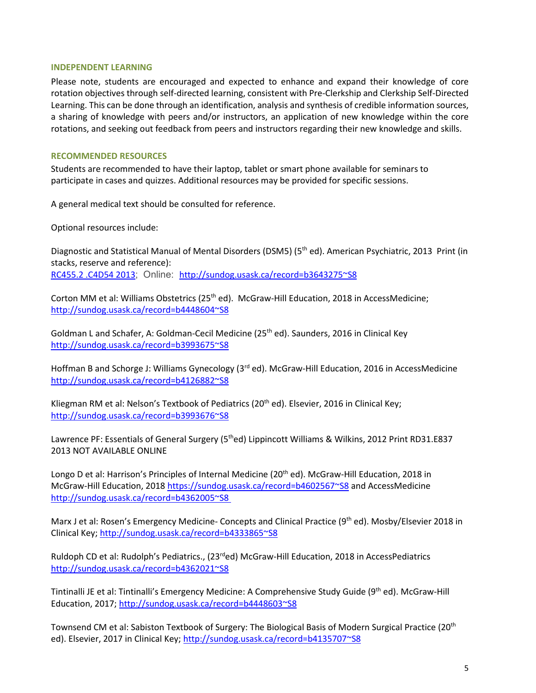## **INDEPENDENT LEARNING**

Please note, students are encouraged and expected to enhance and expand their knowledge of core rotation objectives through self-directed learning, consistent with Pre-Clerkship and Clerkship Self-Directed Learning. This can be done through an identification, analysis and synthesis of credible information sources, a sharing of knowledge with peers and/or instructors, an application of new knowledge within the core rotations, and seeking out feedback from peers and instructors regarding their new knowledge and skills.

## **RECOMMENDED RESOURCES**

Students are recommended to have their laptop, tablet or smart phone available for seminars to participate in cases and quizzes. Additional resources may be provided for specific sessions.

A general medical text should be consulted for reference.

Optional resources include:

Diagnostic and Statistical Manual of Mental Disorders (DSM5) (5<sup>th</sup> ed). American Psychiatric, 2013 Print (in stacks, reserve and reference): [RC455.2 .C4D54 2013](http://sundog.usask.ca/search~S8?/cRC455.2+.C4D54+2013/crc++455.2+c4+d54+2013/-3,-1,,E/browse); Online: <http://sundog.usask.ca/record=b3643275~S8>

Corton MM et al: Williams Obstetrics (25<sup>th</sup> ed). McGraw-Hill Education, 2018 in AccessMedicine; <http://sundog.usask.ca/record=b4448604~S8>

Goldman L and Schafer, A: Goldman-Cecil Medicine (25<sup>th</sup> ed). Saunders, 2016 in Clinical Key <http://sundog.usask.ca/record=b3993675~S8>

Hoffman B and Schorge J: Williams Gynecology (3<sup>rd</sup> ed). McGraw-Hill Education, 2016 in AccessMedicine <http://sundog.usask.ca/record=b4126882~S8>

Kliegman RM et al: Nelson's Textbook of Pediatrics (20<sup>th</sup> ed). Elsevier, 2016 in Clinical Key; <http://sundog.usask.ca/record=b3993676~S8>

Lawrence PF: Essentials of General Surgery (5<sup>th</sup>ed) Lippincott Williams & Wilkins, 2012 Print RD31.E837 2013 NOT AVAILABLE ONLINE

Longo D et al: Harrison's Principles of Internal Medicine (20<sup>th</sup> ed). McGraw-Hill Education, 2018 in McGraw-Hill Education, 2018<https://sundog.usask.ca/record=b4602567~S8>and AccessMedicine <http://sundog.usask.ca/record=b4362005~S8>

Marx J et al: Rosen's Emergency Medicine- Concepts and Clinical Practice (9<sup>th</sup> ed). Mosby/Elsevier 2018 in Clinical Key;<http://sundog.usask.ca/record=b4333865~S8>

Ruldoph CD et al: Rudolph's Pediatrics., (23<sup>rd</sup>ed) McGraw-Hill Education, 2018 in AccessPediatrics <http://sundog.usask.ca/record=b4362021~S8>

Tintinalli JE et al: Tintinalli's Emergency Medicine: A Comprehensive Study Guide (9<sup>th</sup> ed). McGraw-Hill Education, 2017;<http://sundog.usask.ca/record=b4448603~S8>

Townsend CM et al: Sabiston Textbook of Surgery: The Biological Basis of Modern Surgical Practice (20th ed). Elsevier, 2017 in Clinical Key;<http://sundog.usask.ca/record=b4135707~S8>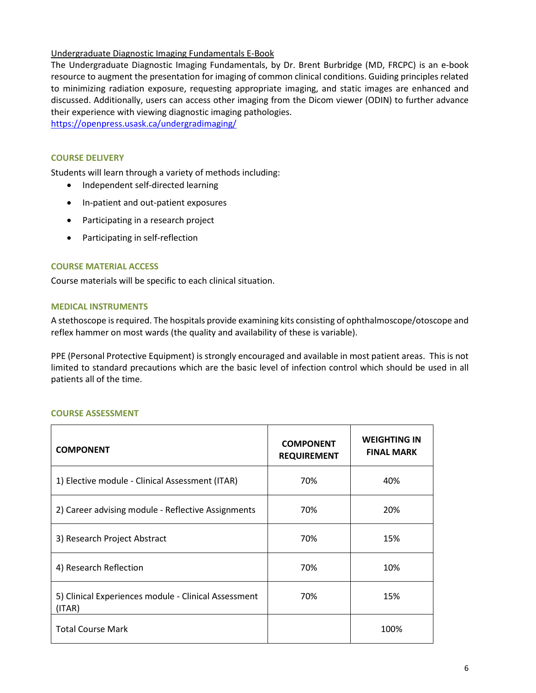# Undergraduate Diagnostic Imaging Fundamentals E-Book

The Undergraduate Diagnostic Imaging Fundamentals, by Dr. Brent Burbridge (MD, FRCPC) is an e-book resource to augment the presentation for imaging of common clinical conditions. Guiding principles related to minimizing radiation exposure, requesting appropriate imaging, and static images are enhanced and discussed. Additionally, users can access other imaging from the Dicom viewer (ODIN) to further advance their experience with viewing diagnostic imaging pathologies.

<https://openpress.usask.ca/undergradimaging/>

## **COURSE DELIVERY**

Students will learn through a variety of methods including:

- Independent self-directed learning
- In-patient and out-patient exposures
- Participating in a research project
- Participating in self-reflection

### **COURSE MATERIAL ACCESS**

Course materials will be specific to each clinical situation.

### **MEDICAL INSTRUMENTS**

A stethoscope is required. The hospitals provide examining kits consisting of ophthalmoscope/otoscope and reflex hammer on most wards (the quality and availability of these is variable).

PPE (Personal Protective Equipment) is strongly encouraged and available in most patient areas. This is not limited to standard precautions which are the basic level of infection control which should be used in all patients all of the time.

### **COURSE ASSESSMENT**

| <b>COMPONENT</b>                                               | <b>COMPONENT</b><br><b>REQUIREMENT</b> | <b>WEIGHTING IN</b><br><b>FINAL MARK</b> |
|----------------------------------------------------------------|----------------------------------------|------------------------------------------|
| 1) Elective module - Clinical Assessment (ITAR)                | 70%                                    | 40%                                      |
| 2) Career advising module - Reflective Assignments             | 70%                                    | 20%                                      |
| 3) Research Project Abstract                                   | 70%                                    | 15%                                      |
| 4) Research Reflection                                         | 70%                                    | 10%                                      |
| 5) Clinical Experiences module - Clinical Assessment<br>(ITAR) | 70%                                    | 15%                                      |
| <b>Total Course Mark</b>                                       |                                        | 100%                                     |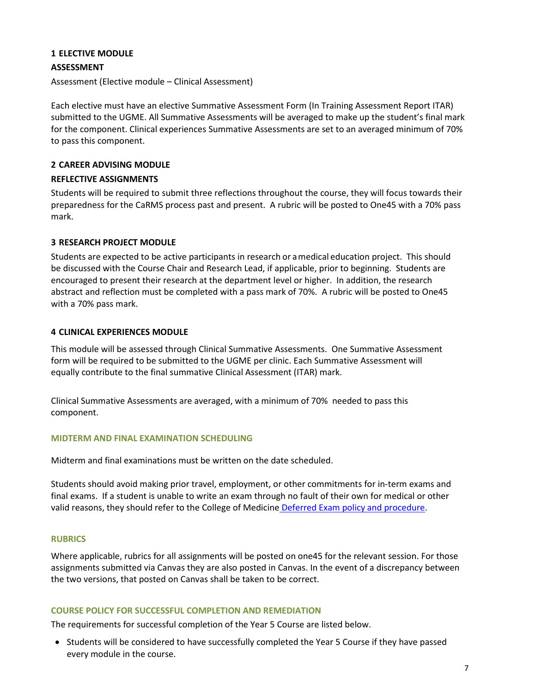# **1 ELECTIVE MODULE**

## **ASSESSMENT**

Assessment (Elective module – Clinical Assessment)

Each elective must have an elective Summative Assessment Form (In Training Assessment Report ITAR) submitted to the UGME. All Summative Assessments will be averaged to make up the student's final mark for the component. Clinical experiences Summative Assessments are set to an averaged minimum of 70% to pass this component.

## **2 CAREER ADVISING MODULE**

### **REFLECTIVE ASSIGNMENTS**

Students will be required to submit three reflections throughout the course, they will focus towards their preparedness for the CaRMS process past and present. A rubric will be posted to One45 with a 70% pass mark.

# **3 RESEARCH PROJECT MODULE**

Students are expected to be active participants in research or a medical education project. This should be discussed with the Course Chair and Research Lead, if applicable, prior to beginning. Students are encouraged to present their research at the department level or higher. In addition, the research abstract and reflection must be completed with a pass mark of 70%. A rubric will be posted to One45 with a 70% pass mark.

## **4 CLINICAL EXPERIENCES MODULE**

This module will be assessed through Clinical Summative Assessments. One Summative Assessment form will be required to be submitted to the UGME per clinic. Each Summative Assessment will equally contribute to the final summative Clinical Assessment (ITAR) mark.

Clinical Summative Assessments are averaged, with a minimum of 70% needed to pass this component.

### **MIDTERM AND FINAL EXAMINATION SCHEDULING**

Midterm and final examinations must be written on the date scheduled.

Students should avoid making prior travel, employment, or other commitments for in-term exams and final exams. If a student is unable to write an exam through no fault of their own for medical or other valid reasons, they should refer to the College of Medicine [Deferred Exam policy and procedure.](https://medicine.usask.ca/policies/deferred-exams.php)

### **RUBRICS**

Where applicable, rubrics for all assignments will be posted on one45 for the relevant session. For those assignments submitted via Canvas they are also posted in Canvas. In the event of a discrepancy between the two versions, that posted on Canvas shall be taken to be correct.

## **COURSE POLICY FOR SUCCESSFUL COMPLETION AND REMEDIATION**

The requirements for successful completion of the Year 5 Course are listed below.

• Students will be considered to have successfully completed the Year 5 Course if they have passed every module in the course.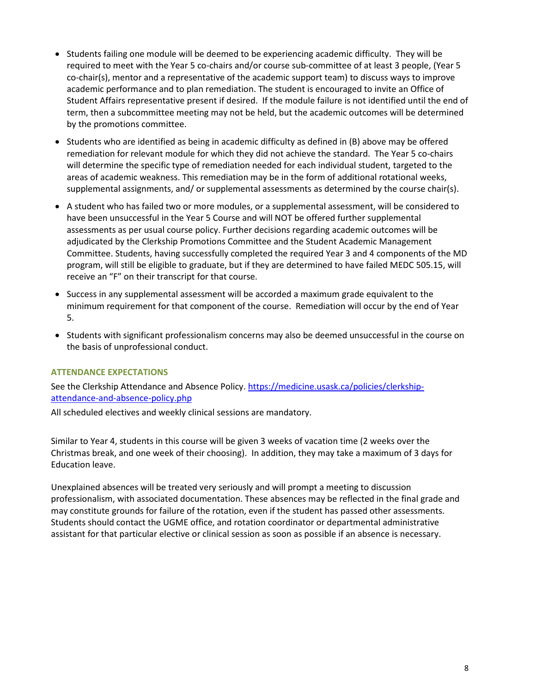- Students failing one module will be deemed to be experiencing academic difficulty. They will be required to meet with the Year 5 co-chairs and/or course sub-committee of at least 3 people, (Year 5 co-chair(s), mentor and a representative of the academic support team) to discuss ways to improve academic performance and to plan remediation. The student is encouraged to invite an Office of Student Affairs representative present if desired. If the module failure is not identified until the end of term, then a subcommittee meeting may not be held, but the academic outcomes will be determined by the promotions committee.
- Students who are identified as being in academic difficulty as defined in (B) above may be offered remediation for relevant module for which they did not achieve the standard. The Year 5 co-chairs will determine the specific type of remediation needed for each individual student, targeted to the areas of academic weakness. This remediation may be in the form of additional rotational weeks, supplemental assignments, and/ or supplemental assessments as determined by the course chair(s).
- A student who has failed two or more modules, or a supplemental assessment, will be considered to have been unsuccessful in the Year 5 Course and will NOT be offered further supplemental assessments as per usual course policy. Further decisions regarding academic outcomes will be adjudicated by the Clerkship Promotions Committee and the Student Academic Management Committee. Students, having successfully completed the required Year 3 and 4 components of the MD program, will still be eligible to graduate, but if they are determined to have failed MEDC 505.15, will receive an "F" on their transcript for that course.
- Success in any supplemental assessment will be accorded a maximum grade equivalent to the minimum requirement for that component of the course. Remediation will occur by the end of Year 5.
- Students with significant professionalism concerns may also be deemed unsuccessful in the course on the basis of unprofessional conduct.

# **ATTENDANCE EXPECTATIONS**

See the Clerkship Attendance and Absence Policy. [https://medicine.usask.ca/policies/clerkship](https://medicine.usask.ca/policies/clerkship-attendance-and-absence-policy.php)[attendance-and-absence-policy.php](https://medicine.usask.ca/policies/clerkship-attendance-and-absence-policy.php)

All scheduled electives and weekly clinical sessions are mandatory.

Similar to Year 4, students in this course will be given 3 weeks of vacation time (2 weeks over the Christmas break, and one week of their choosing). In addition, they may take a maximum of 3 days for Education leave.

Unexplained absences will be treated very seriously and will prompt a meeting to discussion professionalism, with associated documentation. These absences may be reflected in the final grade and may constitute grounds for failure of the rotation, even if the student has passed other assessments. Students should contact the UGME office, and rotation coordinator or departmental administrative assistant for that particular elective or clinical session as soon as possible if an absence is necessary.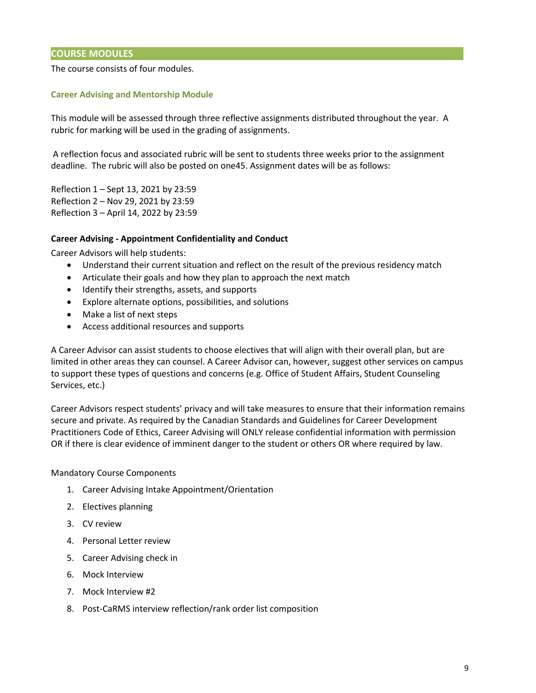# **COURSE MODULES**

## The course consists of four modules.

## **Career Advising and Mentorship Module**

This module will be assessed through three reflective assignments distributed throughout the year. A rubric for marking will be used in the grading of assignments.

A reflection focus and associated rubric will be sent to students three weeks prior to the assignment deadline. The rubric will also be posted on one45. Assignment dates will be as follows:

Reflection 1 – Sept 13, 2021 by 23:59 Reflection 2 – Nov 29, 2021 by 23:59 Reflection 3 – April 14, 2022 by 23:59

### **Career Advising - Appointment Confidentiality and Conduct**

Career Advisors will help students:

- Understand their current situation and reflect on the result of the previous residency match
- Articulate their goals and how they plan to approach the next match
- Identify their strengths, assets, and supports
- Explore alternate options, possibilities, and solutions
- Make a list of next steps
- Access additional resources and supports

A Career Advisor can assist students to choose electives that will align with their overall plan, but are limited in other areas they can counsel. A Career Advisor can, however, suggest other services on campus to support these types of questions and concerns (e.g. Office of Student Affairs, Student Counseling Services, etc.)

Career Advisors respect students' privacy and will take measures to ensure that their information remains secure and private. As required by the Canadian Standards and Guidelines for Career Development Practitioners Code of Ethics, Career Advising will ONLY release confidential information with permission OR if there is clear evidence of imminent danger to the student or others OR where required by law.

Mandatory Course Components

- 1. Career Advising Intake Appointment/Orientation
- 2. Electives planning
- 3. CV review
- 4. Personal Letter review
- 5. Career Advising check in
- 6. Mock Interview
- 7. Mock Interview #2
- 8. Post-CaRMS interview reflection/rank order list composition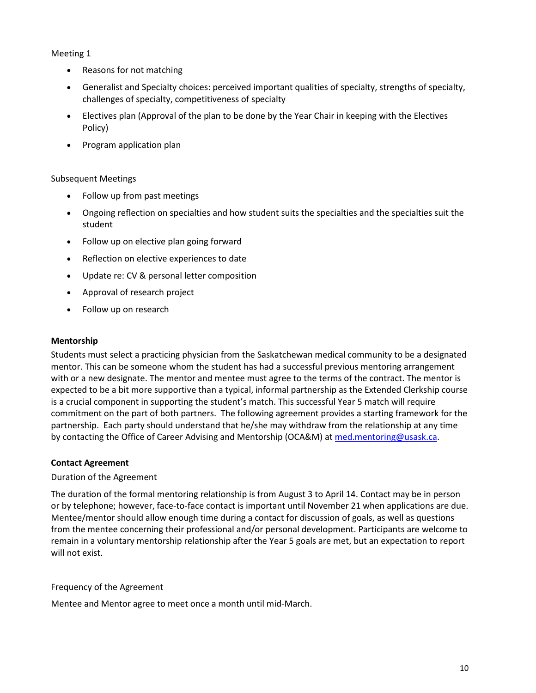# Meeting 1

- Reasons for not matching
- Generalist and Specialty choices: perceived important qualities of specialty, strengths of specialty, challenges of specialty, competitiveness of specialty
- Electives plan (Approval of the plan to be done by the Year Chair in keeping with the Electives Policy)
- Program application plan

# Subsequent Meetings

- Follow up from past meetings
- Ongoing reflection on specialties and how student suits the specialties and the specialties suit the student
- Follow up on elective plan going forward
- Reflection on elective experiences to date
- Update re: CV & personal letter composition
- Approval of research project
- Follow up on research

# **Mentorship**

Students must select a practicing physician from the Saskatchewan medical community to be a designated mentor. This can be someone whom the student has had a successful previous mentoring arrangement with or a new designate. The mentor and mentee must agree to the terms of the contract. The mentor is expected to be a bit more supportive than a typical, informal partnership as the Extended Clerkship course is a crucial component in supporting the student's match. This successful Year 5 match will require commitment on the part of both partners. The following agreement provides a starting framework for the partnership. Each party should understand that he/she may withdraw from the relationship at any time by contacting the Office of Career Advising and Mentorship (OCA&M) a[t med.mentoring@usask.ca.](mailto:med.mentoring@usask.ca)

### **Contact Agreement**

# Duration of the Agreement

The duration of the formal mentoring relationship is from August 3 to April 14. Contact may be in person or by telephone; however, face-to-face contact is important until November 21 when applications are due. Mentee/mentor should allow enough time during a contact for discussion of goals, as well as questions from the mentee concerning their professional and/or personal development. Participants are welcome to remain in a voluntary mentorship relationship after the Year 5 goals are met, but an expectation to report will not exist.

# Frequency of the Agreement

Mentee and Mentor agree to meet once a month until mid-March.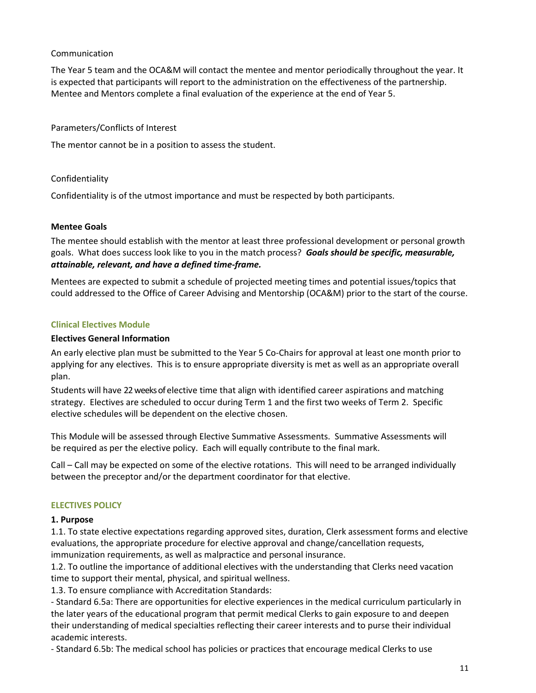# Communication

The Year 5 team and the OCA&M will contact the mentee and mentor periodically throughout the year. It is expected that participants will report to the administration on the effectiveness of the partnership. Mentee and Mentors complete a final evaluation of the experience at the end of Year 5.

## Parameters/Conflicts of Interest

The mentor cannot be in a position to assess the student.

## Confidentiality

Confidentiality is of the utmost importance and must be respected by both participants.

### **Mentee Goals**

The mentee should establish with the mentor at least three professional development or personal growth goals. What does success look like to you in the match process? *Goals should be specific, measurable, attainable, relevant, and have a defined time-frame.*

Mentees are expected to submit a schedule of projected meeting times and potential issues/topics that could addressed to the Office of Career Advising and Mentorship (OCA&M) prior to the start of the course.

## **Clinical Electives Module**

## **Electives General Information**

An early elective plan must be submitted to the Year 5 Co-Chairs for approval at least one month prior to applying for any electives. This is to ensure appropriate diversity is met as well as an appropriate overall plan.

Students will have 22 weeks of elective time that align with identified career aspirations and matching strategy. Electives are scheduled to occur during Term 1 and the first two weeks of Term 2. Specific elective schedules will be dependent on the elective chosen.

This Module will be assessed through Elective Summative Assessments. Summative Assessments will be required as per the elective policy. Each will equally contribute to the final mark.

Call – Call may be expected on some of the elective rotations. This will need to be arranged individually between the preceptor and/or the department coordinator for that elective.

### **ELECTIVES POLICY**

### **1. Purpose**

1.1. To state elective expectations regarding approved sites, duration, Clerk assessment forms and elective evaluations, the appropriate procedure for elective approval and change/cancellation requests, immunization requirements, as well as malpractice and personal insurance.

1.2. To outline the importance of additional electives with the understanding that Clerks need vacation time to support their mental, physical, and spiritual wellness.

1.3. To ensure compliance with Accreditation Standards:

- Standard 6.5a: There are opportunities for elective experiences in the medical curriculum particularly in the later years of the educational program that permit medical Clerks to gain exposure to and deepen their understanding of medical specialties reflecting their career interests and to purse their individual academic interests.

- Standard 6.5b: The medical school has policies or practices that encourage medical Clerks to use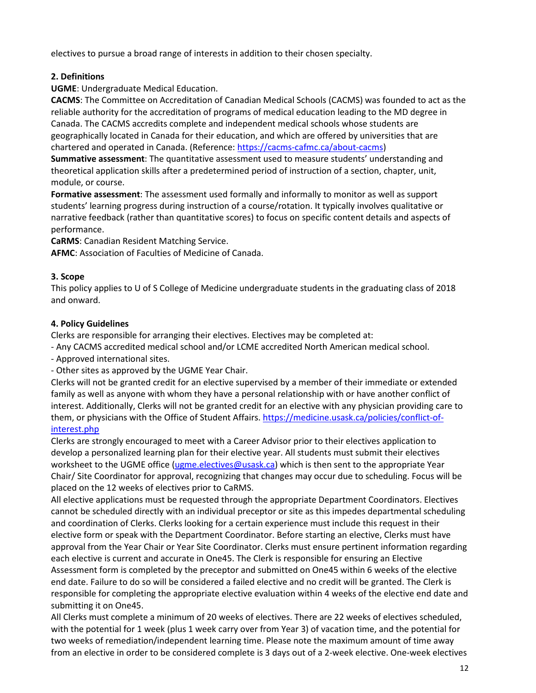electives to pursue a broad range of interests in addition to their chosen specialty.

# **2. Definitions**

**UGME**: Undergraduate Medical Education.

**CACMS**: The Committee on Accreditation of Canadian Medical Schools (CACMS) was founded to act as the reliable authority for the accreditation of programs of medical education leading to the MD degree in Canada. The CACMS accredits complete and independent medical schools whose students are geographically located in Canada for their education, and which are offered by universities that are chartered and operated in Canada. (Reference: [https://cacms-cafmc.ca/about-cacms\)](https://cacms-cafmc.ca/about-cacms)

**Summative assessment**: The quantitative assessment used to measure students' understanding and theoretical application skills after a predetermined period of instruction of a section, chapter, unit, module, or course.

**Formative assessment**: The assessment used formally and informally to monitor as well as support students' learning progress during instruction of a course/rotation. It typically involves qualitative or narrative feedback (rather than quantitative scores) to focus on specific content details and aspects of performance.

**CaRMS**: Canadian Resident Matching Service.

**AFMC**: Association of Faculties of Medicine of Canada.

# **3. Scope**

This policy applies to U of S College of Medicine undergraduate students in the graduating class of 2018 and onward.

# **4. Policy Guidelines**

Clerks are responsible for arranging their electives. Electives may be completed at:

- Any CACMS accredited medical school and/or LCME accredited North American medical school.

- Approved international sites.

- Other sites as approved by the UGME Year Chair.

Clerks will not be granted credit for an elective supervised by a member of their immediate or extended family as well as anyone with whom they have a personal relationship with or have another conflict of interest. Additionally, Clerks will not be granted credit for an elective with any physician providing care to them, or physicians with the Office of Student Affairs. [https://medicine.usask.ca/policies/conflict-of](https://medicine.usask.ca/policies/conflict-of-interest.php)[interest.php](https://medicine.usask.ca/policies/conflict-of-interest.php) 

Clerks are strongly encouraged to meet with a Career Advisor prior to their electives application to develop a personalized learning plan for their elective year. All students must submit their electives worksheet to the UGME office [\(ugme.electives@usask.ca\)](mailto:ugme.electives@usask.ca) which is then sent to the appropriate Year Chair/ Site Coordinator for approval, recognizing that changes may occur due to scheduling. Focus will be placed on the 12 weeks of electives prior to CaRMS.

All elective applications must be requested through the appropriate Department Coordinators. Electives cannot be scheduled directly with an individual preceptor or site as this impedes departmental scheduling and coordination of Clerks. Clerks looking for a certain experience must include this request in their elective form or speak with the Department Coordinator. Before starting an elective, Clerks must have approval from the Year Chair or Year Site Coordinator. Clerks must ensure pertinent information regarding each elective is current and accurate in One45. The Clerk is responsible for ensuring an Elective Assessment form is completed by the preceptor and submitted on One45 within 6 weeks of the elective end date. Failure to do so will be considered a failed elective and no credit will be granted. The Clerk is responsible for completing the appropriate elective evaluation within 4 weeks of the elective end date and submitting it on One45.

All Clerks must complete a minimum of 20 weeks of electives. There are 22 weeks of electives scheduled, with the potential for 1 week (plus 1 week carry over from Year 3) of vacation time, and the potential for two weeks of remediation/independent learning time. Please note the maximum amount of time away from an elective in order to be considered complete is 3 days out of a 2-week elective. One-week electives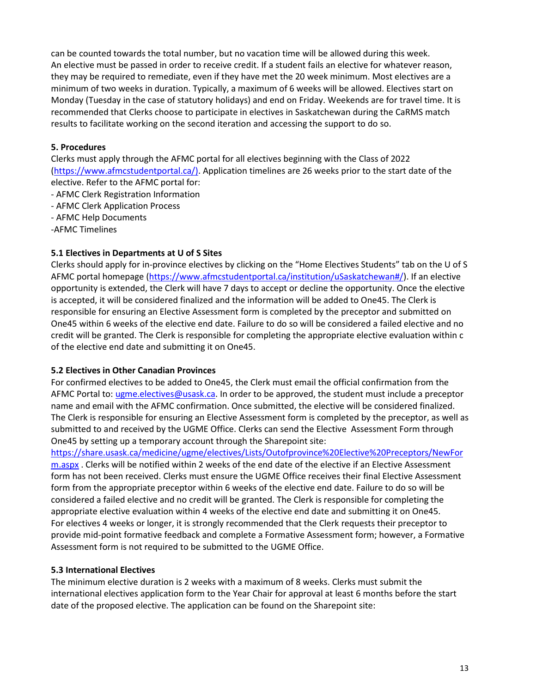can be counted towards the total number, but no vacation time will be allowed during this week. An elective must be passed in order to receive credit. If a student fails an elective for whatever reason, they may be required to remediate, even if they have met the 20 week minimum. Most electives are a minimum of two weeks in duration. Typically, a maximum of 6 weeks will be allowed. Electives start on Monday (Tuesday in the case of statutory holidays) and end on Friday. Weekends are for travel time. It is recommended that Clerks choose to participate in electives in Saskatchewan during the CaRMS match results to facilitate working on the second iteration and accessing the support to do so.

# **5. Procedures**

Clerks must apply through the AFMC portal for all electives beginning with the Class of 2022 [\(https://www.afmcstudentportal.ca/\)](https://www.afmcstudentportal.ca/). Application timelines are 26 weeks prior to the start date of the elective. Refer to the AFMC portal for:

- AFMC Clerk Registration Information

- AFMC Clerk Application Process
- AFMC Help Documents
- -AFMC Timelines

# **5.1 Electives in Departments at U of S Sites**

Clerks should apply for in-province electives by clicking on the "Home Electives Students" tab on the U of S AFMC portal homepage [\(https://www.afmcstudentportal.ca/institution/uSaskatchewan#/\)](https://www.afmcstudentportal.ca/institution/uSaskatchewan#/). If an elective opportunity is extended, the Clerk will have 7 days to accept or decline the opportunity. Once the elective is accepted, it will be considered finalized and the information will be added to One45. The Clerk is responsible for ensuring an Elective Assessment form is completed by the preceptor and submitted on One45 within 6 weeks of the elective end date. Failure to do so will be considered a failed elective and no credit will be granted. The Clerk is responsible for completing the appropriate elective evaluation within c of the elective end date and submitting it on One45.

# **5.2 Electives in Other Canadian Provinces**

For confirmed electives to be added to One45, the Clerk must email the official confirmation from the AFMC Portal to[: ugme.electives@usask.ca.](mailto:ugme.electives@usask.ca) In order to be approved, the student must include a preceptor name and email with the AFMC confirmation. Once submitted, the elective will be considered finalized. The Clerk is responsible for ensuring an Elective Assessment form is completed by the preceptor, as well as submitted to and received by the UGME Office. Clerks can send the Elective Assessment Form through One45 by setting up a temporary account through the Sharepoint site:

[https://share.usask.ca/medicine/ugme/electives/Lists/Outofprovince%20Elective%20Preceptors/NewFor](https://share.usask.ca/medicine/ugme/electives/Lists/Outofprovince%20Elective%20Preceptors/NewForm.aspx) [m.aspx](https://share.usask.ca/medicine/ugme/electives/Lists/Outofprovince%20Elective%20Preceptors/NewForm.aspx) . Clerks will be notified within 2 weeks of the end date of the elective if an Elective Assessment form has not been received. Clerks must ensure the UGME Office receives their final Elective Assessment form from the appropriate preceptor within 6 weeks of the elective end date. Failure to do so will be considered a failed elective and no credit will be granted. The Clerk is responsible for completing the appropriate elective evaluation within 4 weeks of the elective end date and submitting it on One45. For electives 4 weeks or longer, it is strongly recommended that the Clerk requests their preceptor to provide mid-point formative feedback and complete a Formative Assessment form; however, a Formative Assessment form is not required to be submitted to the UGME Office.

# **5.3 International Electives**

The minimum elective duration is 2 weeks with a maximum of 8 weeks. Clerks must submit the international electives application form to the Year Chair for approval at least 6 months before the start date of the proposed elective. The application can be found on the Sharepoint site: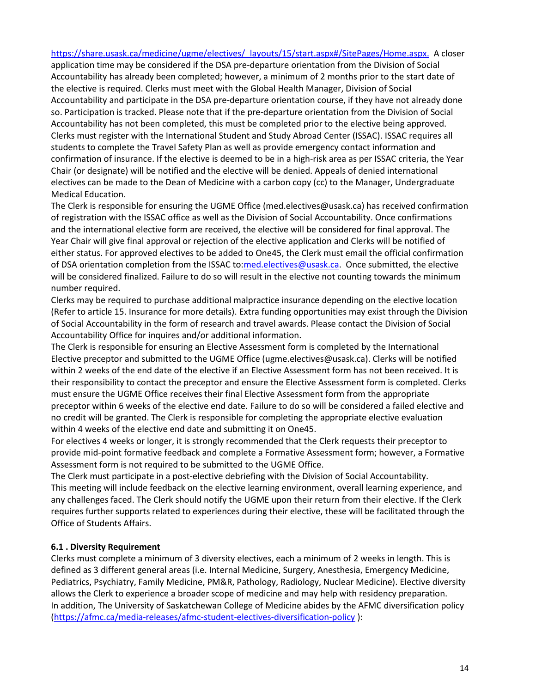[https://share.usask.ca/medicine/ugme/electives/\\_layouts/15/start.aspx#/SitePages/Home.aspx.](https://share.usask.ca/medicine/ugme/electives/_layouts/15/start.aspx#/SitePages/Home.aspx) A closer application time may be considered if the DSA pre-departure orientation from the Division of Social Accountability has already been completed; however, a minimum of 2 months prior to the start date of the elective is required. Clerks must meet with the Global Health Manager, Division of Social Accountability and participate in the DSA pre-departure orientation course, if they have not already done so. Participation is tracked. Please note that if the pre-departure orientation from the Division of Social Accountability has not been completed, this must be completed prior to the elective being approved. Clerks must register with the International Student and Study Abroad Center (ISSAC). ISSAC requires all students to complete the Travel Safety Plan as well as provide emergency contact information and confirmation of insurance. If the elective is deemed to be in a high-risk area as per ISSAC criteria, the Year Chair (or designate) will be notified and the elective will be denied. Appeals of denied international electives can be made to the Dean of Medicine with a carbon copy (cc) to the Manager, Undergraduate Medical Education.

The Clerk is responsible for ensuring the UGME Office (med.electives@usask.ca) has received confirmation of registration with the ISSAC office as well as the Division of Social Accountability. Once confirmations and the international elective form are received, the elective will be considered for final approval. The Year Chair will give final approval or rejection of the elective application and Clerks will be notified of either status. For approved electives to be added to One45, the Clerk must email the official confirmation of DSA orientation completion from the ISSAC to[:med.electives@usask.ca.](mailto:med.electives@usask.ca) Once submitted, the elective will be considered finalized. Failure to do so will result in the elective not counting towards the minimum number required.

Clerks may be required to purchase additional malpractice insurance depending on the elective location (Refer to article 15. Insurance for more details). Extra funding opportunities may exist through the Division of Social Accountability in the form of research and travel awards. Please contact the Division of Social Accountability Office for inquires and/or additional information.

The Clerk is responsible for ensuring an Elective Assessment form is completed by the International Elective preceptor and submitted to the UGME Office (ugme.electives@usask.ca). Clerks will be notified within 2 weeks of the end date of the elective if an Elective Assessment form has not been received. It is their responsibility to contact the preceptor and ensure the Elective Assessment form is completed. Clerks must ensure the UGME Office receives their final Elective Assessment form from the appropriate preceptor within 6 weeks of the elective end date. Failure to do so will be considered a failed elective and no credit will be granted. The Clerk is responsible for completing the appropriate elective evaluation within 4 weeks of the elective end date and submitting it on One45.

For electives 4 weeks or longer, it is strongly recommended that the Clerk requests their preceptor to provide mid-point formative feedback and complete a Formative Assessment form; however, a Formative Assessment form is not required to be submitted to the UGME Office.

The Clerk must participate in a post-elective debriefing with the Division of Social Accountability. This meeting will include feedback on the elective learning environment, overall learning experience, and any challenges faced. The Clerk should notify the UGME upon their return from their elective. If the Clerk requires further supports related to experiences during their elective, these will be facilitated through the Office of Students Affairs.

# **6.1 . Diversity Requirement**

Clerks must complete a minimum of 3 diversity electives, each a minimum of 2 weeks in length. This is defined as 3 different general areas (i.e. Internal Medicine, Surgery, Anesthesia, Emergency Medicine, Pediatrics, Psychiatry, Family Medicine, PM&R, Pathology, Radiology, Nuclear Medicine). Elective diversity allows the Clerk to experience a broader scope of medicine and may help with residency preparation. In addition, The University of Saskatchewan College of Medicine abides by the AFMC diversification policy [\(https://afmc.ca/media-releases/afmc-student-electives-diversification-policy](https://afmc.ca/media-releases/afmc-student-electives-diversification-policy) ):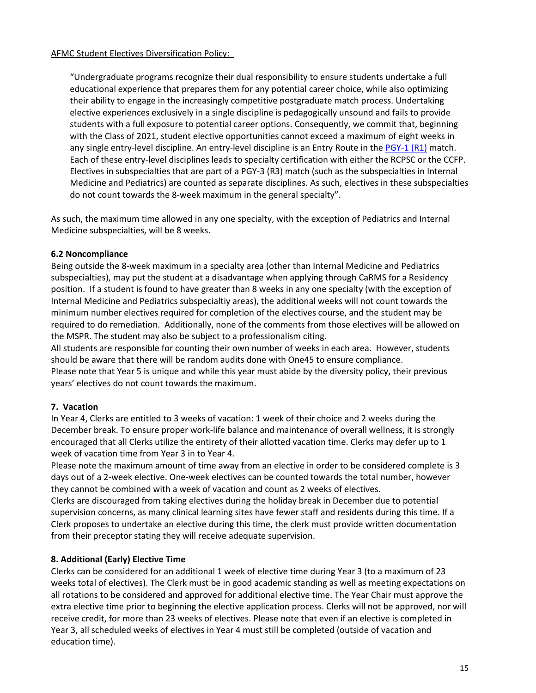"Undergraduate programs recognize their dual responsibility to ensure students undertake a full educational experience that prepares them for any potential career choice, while also optimizing their ability to engage in the increasingly competitive postgraduate match process. Undertaking elective experiences exclusively in a single discipline is pedagogically unsound and fails to provide students with a full exposure to potential career options. Consequently, we commit that, beginning with the Class of 2021, student elective opportunities cannot exceed a maximum of eight weeks in any single entry-level discipline. An entry-level discipline is an Entry Route in the [PGY-1 \(R1\)](https://afmc.ca/sites/default/files/30%20Entry%20Routes.pdf) match. Each of these entry-level disciplines leads to specialty certification with either the RCPSC or the CCFP. Electives in subspecialties that are part of a PGY-3 (R3) match (such as the subspecialties in Internal Medicine and Pediatrics) are counted as separate disciplines. As such, electives in these subspecialties do not count towards the 8-week maximum in the general specialty".

As such, the maximum time allowed in any one specialty, with the exception of Pediatrics and Internal Medicine subspecialties, will be 8 weeks.

# **6.2 Noncompliance**

Being outside the 8-week maximum in a specialty area (other than Internal Medicine and Pediatrics subspecialties), may put the student at a disadvantage when applying through CaRMS for a Residency position. If a student is found to have greater than 8 weeks in any one specialty (with the exception of Internal Medicine and Pediatrics subspecialtiy areas), the additional weeks will not count towards the minimum number electives required for completion of the electives course, and the student may be required to do remediation. Additionally, none of the comments from those electives will be allowed on the MSPR. The student may also be subject to a professionalism citing.

All students are responsible for counting their own number of weeks in each area. However, students should be aware that there will be random audits done with One45 to ensure compliance. Please note that Year 5 is unique and while this year must abide by the diversity policy, their previous years' electives do not count towards the maximum.

# **7. Vacation**

In Year 4, Clerks are entitled to 3 weeks of vacation: 1 week of their choice and 2 weeks during the December break. To ensure proper work-life balance and maintenance of overall wellness, it is strongly encouraged that all Clerks utilize the entirety of their allotted vacation time. Clerks may defer up to 1 week of vacation time from Year 3 in to Year 4.

Please note the maximum amount of time away from an elective in order to be considered complete is 3 days out of a 2-week elective. One-week electives can be counted towards the total number, however they cannot be combined with a week of vacation and count as 2 weeks of electives.

Clerks are discouraged from taking electives during the holiday break in December due to potential supervision concerns, as many clinical learning sites have fewer staff and residents during this time. If a Clerk proposes to undertake an elective during this time, the clerk must provide written documentation from their preceptor stating they will receive adequate supervision.

# **8. Additional (Early) Elective Time**

Clerks can be considered for an additional 1 week of elective time during Year 3 (to a maximum of 23 weeks total of electives). The Clerk must be in good academic standing as well as meeting expectations on all rotations to be considered and approved for additional elective time. The Year Chair must approve the extra elective time prior to beginning the elective application process. Clerks will not be approved, nor will receive credit, for more than 23 weeks of electives. Please note that even if an elective is completed in Year 3, all scheduled weeks of electives in Year 4 must still be completed (outside of vacation and education time).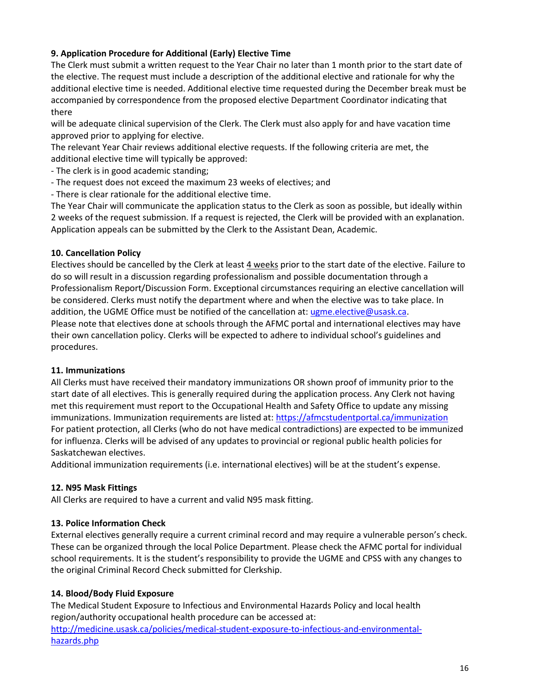# **9. Application Procedure for Additional (Early) Elective Time**

The Clerk must submit a written request to the Year Chair no later than 1 month prior to the start date of the elective. The request must include a description of the additional elective and rationale for why the additional elective time is needed. Additional elective time requested during the December break must be accompanied by correspondence from the proposed elective Department Coordinator indicating that there

will be adequate clinical supervision of the Clerk. The Clerk must also apply for and have vacation time approved prior to applying for elective.

The relevant Year Chair reviews additional elective requests. If the following criteria are met, the additional elective time will typically be approved:

- The clerk is in good academic standing;
- The request does not exceed the maximum 23 weeks of electives; and
- There is clear rationale for the additional elective time.

The Year Chair will communicate the application status to the Clerk as soon as possible, but ideally within 2 weeks of the request submission. If a request is rejected, the Clerk will be provided with an explanation. Application appeals can be submitted by the Clerk to the Assistant Dean, Academic.

# **10. Cancellation Policy**

Electives should be cancelled by the Clerk at least 4 weeks prior to the start date of the elective. Failure to do so will result in a discussion regarding professionalism and possible documentation through a Professionalism Report/Discussion Form. Exceptional circumstances requiring an elective cancellation will be considered. Clerks must notify the department where and when the elective was to take place. In addition, the UGME Office must be notified of the cancellation at[: ugme.elective@usask.ca.](mailto:ugme.elective@usask.ca) Please note that electives done at schools through the AFMC portal and international electives may have their own cancellation policy. Clerks will be expected to adhere to individual school's guidelines and procedures.

# **11. Immunizations**

All Clerks must have received their mandatory immunizations OR shown proof of immunity prior to the start date of all electives. This is generally required during the application process. Any Clerk not having met this requirement must report to the Occupational Health and Safety Office to update any missing immunizations. Immunization requirements are listed at:<https://afmcstudentportal.ca/immunization> For patient protection, all Clerks (who do not have medical contradictions) are expected to be immunized for influenza. Clerks will be advised of any updates to provincial or regional public health policies for Saskatchewan electives.

Additional immunization requirements (i.e. international electives) will be at the student's expense.

# **12. N95 Mask Fittings**

All Clerks are required to have a current and valid N95 mask fitting.

# **13. Police Information Check**

External electives generally require a current criminal record and may require a vulnerable person's check. These can be organized through the local Police Department. Please check the AFMC portal for individual school requirements. It is the student's responsibility to provide the UGME and CPSS with any changes to the original Criminal Record Check submitted for Clerkship.

# **14. Blood/Body Fluid Exposure**

The Medical Student Exposure to Infectious and Environmental Hazards Policy and local health region/authority occupational health procedure can be accessed at: [http://medicine.usask.ca/policies/medical-student-exposure-to-infectious-and-environmental](http://medicine.usask.ca/policies/medical-student-exposure-to-infectious-and-environmental-hazards.php)[hazards.php](http://medicine.usask.ca/policies/medical-student-exposure-to-infectious-and-environmental-hazards.php)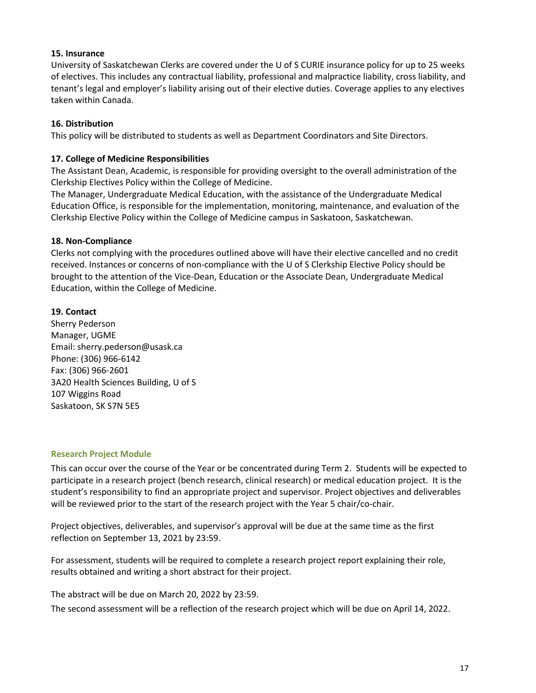# **15. Insurance**

University of Saskatchewan Clerks are covered under the U of S CURIE insurance policy for up to 25 weeks of electives. This includes any contractual liability, professional and malpractice liability, cross liability, and tenant's legal and employer's liability arising out of their elective duties. Coverage applies to any electives taken within Canada.

# **16. Distribution**

This policy will be distributed to students as well as Department Coordinators and Site Directors.

# **17. College of Medicine Responsibilities**

The Assistant Dean, Academic, is responsible for providing oversight to the overall administration of the Clerkship Electives Policy within the College of Medicine.

The Manager, Undergraduate Medical Education, with the assistance of the Undergraduate Medical Education Office, is responsible for the implementation, monitoring, maintenance, and evaluation of the Clerkship Elective Policy within the College of Medicine campus in Saskatoon, Saskatchewan.

# **18. Non-Compliance**

Clerks not complying with the procedures outlined above will have their elective cancelled and no credit received. Instances or concerns of non-compliance with the U of S Clerkship Elective Policy should be brought to the attention of the Vice-Dean, Education or the Associate Dean, Undergraduate Medical Education, within the College of Medicine.

# **19. Contact**

Sherry Pederson Manager, UGME Email: sherry.pederson@usask.ca Phone: (306) 966-6142 Fax: (306) 966-2601 3A20 Health Sciences Building, U of S 107 Wiggins Road Saskatoon, SK S7N 5E5

# **Research Project Module**

This can occur over the course of the Year or be concentrated during Term 2. Students will be expected to participate in a research project (bench research, clinical research) or medical education project. It is the student's responsibility to find an appropriate project and supervisor. Project objectives and deliverables will be reviewed prior to the start of the research project with the Year 5 chair/co-chair.

Project objectives, deliverables, and supervisor's approval will be due at the same time as the first reflection on September 13, 2021 by 23:59.

For assessment, students will be required to complete a research project report explaining their role, results obtained and writing a short abstract for their project.

The abstract will be due on March 20, 2022 by 23:59.

The second assessment will be a reflection of the research project which will be due on April 14, 2022.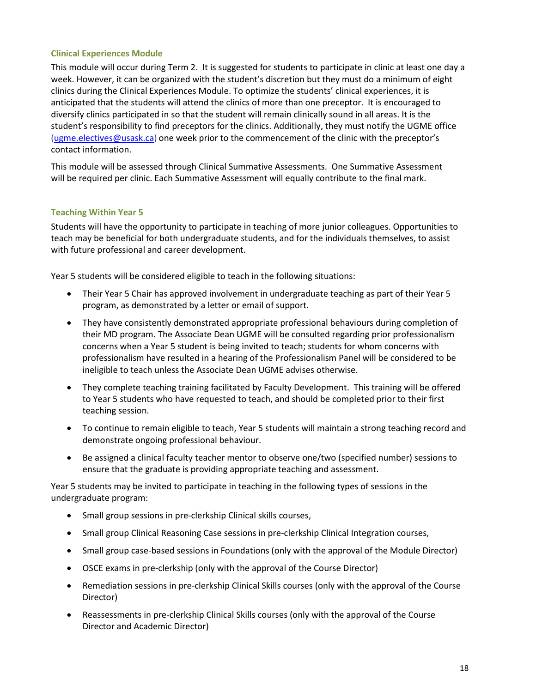# **Clinical Experiences Module**

This module will occur during Term 2. It is suggested for students to participate in clinic at least one day a week. However, it can be organized with the student's discretion but they must do a minimum of eight clinics during the Clinical Experiences Module. To optimize the students' clinical experiences, it is anticipated that the students will attend the clinics of more than one preceptor. It is encouraged to diversify clinics participated in so that the student will remain clinically sound in all areas. It is the student's responsibility to find preceptors for the clinics. Additionally, they must notify the UGME office [\(ugme.electives@usask.ca\)](mailto:ugme.electives@usask.ca) one week prior to the commencement of the clinic with the preceptor's contact information.

This module will be assessed through Clinical Summative Assessments. One Summative Assessment will be required per clinic. Each Summative Assessment will equally contribute to the final mark.

# **Teaching Within Year 5**

Students will have the opportunity to participate in teaching of more junior colleagues. Opportunities to teach may be beneficial for both undergraduate students, and for the individuals themselves, to assist with future professional and career development.

Year 5 students will be considered eligible to teach in the following situations:

- Their Year 5 Chair has approved involvement in undergraduate teaching as part of their Year 5 program, as demonstrated by a letter or email of support.
- They have consistently demonstrated appropriate professional behaviours during completion of their MD program. The Associate Dean UGME will be consulted regarding prior professionalism concerns when a Year 5 student is being invited to teach; students for whom concerns with professionalism have resulted in a hearing of the Professionalism Panel will be considered to be ineligible to teach unless the Associate Dean UGME advises otherwise.
- They complete teaching training facilitated by Faculty Development. This training will be offered to Year 5 students who have requested to teach, and should be completed prior to their first teaching session.
- To continue to remain eligible to teach, Year 5 students will maintain a strong teaching record and demonstrate ongoing professional behaviour.
- Be assigned a clinical faculty teacher mentor to observe one/two (specified number) sessions to ensure that the graduate is providing appropriate teaching and assessment.

Year 5 students may be invited to participate in teaching in the following types of sessions in the undergraduate program:

- Small group sessions in pre-clerkship Clinical skills courses,
- Small group Clinical Reasoning Case sessions in pre-clerkship Clinical Integration courses,
- Small group case-based sessions in Foundations (only with the approval of the Module Director)
- OSCE exams in pre-clerkship (only with the approval of the Course Director)
- Remediation sessions in pre-clerkship Clinical Skills courses (only with the approval of the Course Director)
- Reassessments in pre-clerkship Clinical Skills courses (only with the approval of the Course Director and Academic Director)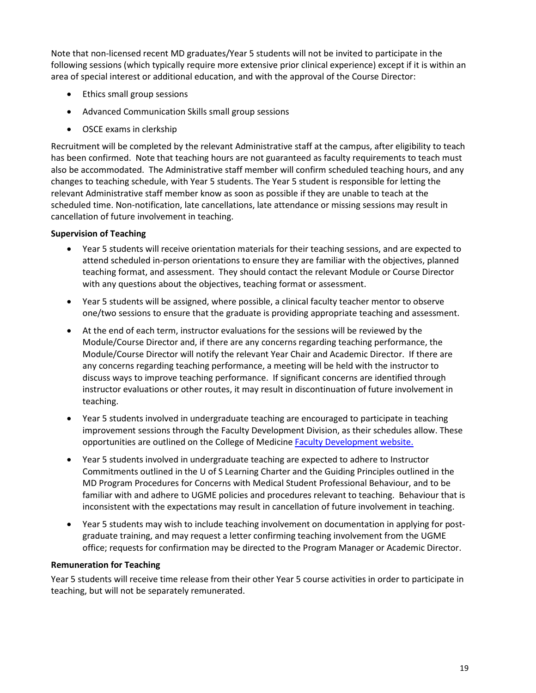Note that non-licensed recent MD graduates/Year 5 students will not be invited to participate in the following sessions (which typically require more extensive prior clinical experience) except if it is within an area of special interest or additional education, and with the approval of the Course Director:

- Ethics small group sessions
- Advanced Communication Skills small group sessions
- OSCE exams in clerkship

Recruitment will be completed by the relevant Administrative staff at the campus, after eligibility to teach has been confirmed. Note that teaching hours are not guaranteed as faculty requirements to teach must also be accommodated. The Administrative staff member will confirm scheduled teaching hours, and any changes to teaching schedule, with Year 5 students. The Year 5 student is responsible for letting the relevant Administrative staff member know as soon as possible if they are unable to teach at the scheduled time. Non-notification, late cancellations, late attendance or missing sessions may result in cancellation of future involvement in teaching.

# **Supervision of Teaching**

- Year 5 students will receive orientation materials for their teaching sessions, and are expected to attend scheduled in-person orientations to ensure they are familiar with the objectives, planned teaching format, and assessment. They should contact the relevant Module or Course Director with any questions about the objectives, teaching format or assessment.
- Year 5 students will be assigned, where possible, a clinical faculty teacher mentor to observe one/two sessions to ensure that the graduate is providing appropriate teaching and assessment.
- At the end of each term, instructor evaluations for the sessions will be reviewed by the Module/Course Director and, if there are any concerns regarding teaching performance, the Module/Course Director will notify the relevant Year Chair and Academic Director. If there are any concerns regarding teaching performance, a meeting will be held with the instructor to discuss ways to improve teaching performance. If significant concerns are identified through instructor evaluations or other routes, it may result in discontinuation of future involvement in teaching.
- Year 5 students involved in undergraduate teaching are encouraged to participate in teaching improvement sessions through the Faculty Development Division, as their schedules allow. These opportunities are outlined on the College of Medicine **Faculty Development website.**
- Year 5 students involved in undergraduate teaching are expected to adhere to Instructor Commitments outlined in the U of S Learning Charter and the Guiding Principles outlined in the MD Program Procedures for Concerns with Medical Student Professional Behaviour, and to be familiar with and adhere to UGME policies and procedures relevant to teaching. Behaviour that is inconsistent with the expectations may result in cancellation of future involvement in teaching.
- Year 5 students may wish to include teaching involvement on documentation in applying for postgraduate training, and may request a letter confirming teaching involvement from the UGME office; requests for confirmation may be directed to the Program Manager or Academic Director.

# **Remuneration for Teaching**

Year 5 students will receive time release from their other Year 5 course activities in order to participate in teaching, but will not be separately remunerated.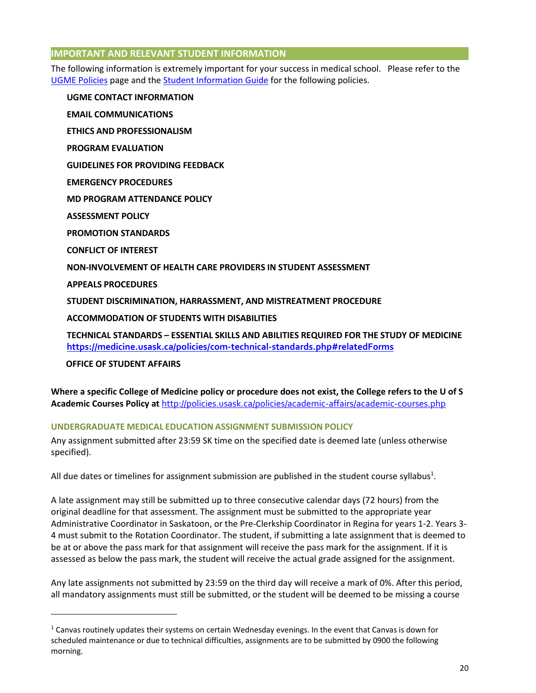# **IMPORTANT AND RELEVANT STUDENT INFORMATION**

The following information is extremely important for your success in medical school. Please refer to the [UGME Policies](http://medicine.usask.ca/students/undergraduate/policies.php) page and th[e Student Information Guide](http://medicine.usask.ca/documents/ugme/syllabi/StudentInfoGuide20152016.pdf) for the following policies.

**UGME CONTACT INFORMATION EMAIL COMMUNICATIONS ETHICS AND PROFESSIONALISM PROGRAM EVALUATION GUIDELINES FOR PROVIDING FEEDBACK\ EMERGENCY PROCEDURES MD PROGRAM ATTENDANCE POLICY ASSESSMENT POLICY PROMOTION STANDARDS CONFLICT OF INTEREST NON-INVOLVEMENT OF HEALTH CARE PROVIDERS IN STUDENT ASSESSMENT APPEALS PROCEDURES STUDENT DISCRIMINATION, HARRASSMENT, AND MISTREATMENT PROCEDURE ACCOMMODATION OF STUDENTS WITH DISABILITIES** 

**TECHNICAL STANDARDS – ESSENTIAL SKILLS AND ABILITIES REQUIRED FOR THE STUDY OF MEDICINE <https://medicine.usask.ca/policies/com-technical-standards.php#relatedForms>**

 **OFFICE OF STUDENT AFFAIRS** 

<u>.</u>

**Where a specific College of Medicine policy or procedure does not exist, the College refers to the U of S Academic Courses Policy at** <http://policies.usask.ca/policies/academic-affairs/academic-courses.php>

# **UNDERGRADUATE MEDICAL EDUCATION ASSIGNMENT SUBMISSION POLICY**

Any assignment submitted after 23:59 SK time on the specified date is deemed late (unless otherwise specified).

All due dates or timelines for assignment submission are published in the student course syllabus<sup>1</sup>.

A late assignment may still be submitted up to three consecutive calendar days (72 hours) from the original deadline for that assessment. The assignment must be submitted to the appropriate year Administrative Coordinator in Saskatoon, or the Pre-Clerkship Coordinator in Regina for years 1-2. Years 3- 4 must submit to the Rotation Coordinator. The student, if submitting a late assignment that is deemed to be at or above the pass mark for that assignment will receive the pass mark for the assignment. If it is assessed as below the pass mark, the student will receive the actual grade assigned for the assignment.

Any late assignments not submitted by 23:59 on the third day will receive a mark of 0%. After this period, all mandatory assignments must still be submitted, or the student will be deemed to be missing a course

 $1$  Canvas routinely updates their systems on certain Wednesday evenings. In the event that Canvas is down for scheduled maintenance or due to technical difficulties, assignments are to be submitted by 0900 the following morning.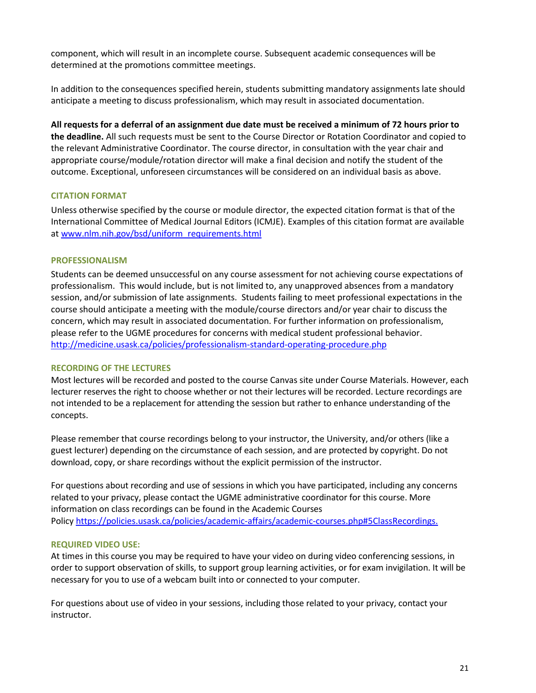component, which will result in an incomplete course. Subsequent academic consequences will be determined at the promotions committee meetings.

In addition to the consequences specified herein, students submitting mandatory assignments late should anticipate a meeting to discuss professionalism, which may result in associated documentation.

**All requests for a deferral of an assignment due date must be received a minimum of 72 hours prior to the deadline.** All such requests must be sent to the Course Director or Rotation Coordinator and copied to the relevant Administrative Coordinator. The course director, in consultation with the year chair and appropriate course/module/rotation director will make a final decision and notify the student of the outcome. Exceptional, unforeseen circumstances will be considered on an individual basis as above.

# **CITATION FORMAT**

Unless otherwise specified by the course or module director, the expected citation format is that of the International Committee of Medical Journal Editors (ICMJE). Examples of this citation format are available a[t www.nlm.nih.gov/bsd/uniform\\_requirements.html](http://www.nlm.nih.gov/bsd/uniform_requirements.html)

## **PROFESSIONALISM**

Students can be deemed unsuccessful on any course assessment for not achieving course expectations of professionalism. This would include, but is not limited to, any unapproved absences from a mandatory session, and/or submission of late assignments. Students failing to meet professional expectations in the course should anticipate a meeting with the module/course directors and/or year chair to discuss the concern, which may result in associated documentation. For further information on professionalism, please refer to the UGME procedures for concerns with medical student professional behavior. <http://medicine.usask.ca/policies/professionalism-standard-operating-procedure.php>

# **RECORDING OF THE LECTURES**

Most lectures will be recorded and posted to the course Canvas site under Course Materials. However, each lecturer reserves the right to choose whether or not their lectures will be recorded. Lecture recordings are not intended to be a replacement for attending the session but rather to enhance understanding of the concepts.

Please remember that course recordings belong to your instructor, the University, and/or others (like a guest lecturer) depending on the circumstance of each session, and are protected by copyright. Do not download, copy, or share recordings without the explicit permission of the instructor.

For questions about recording and use of sessions in which you have participated, including any concerns related to your privacy, please contact the UGME administrative coordinator for this course. More information on class recordings can be found in the Academic Courses Polic[y https://policies.usask.ca/policies/academic-affairs/academic-courses.php#5ClassRecordings.](https://policies.usask.ca/policies/academic-affairs/academic-courses.php#5ClassRecordings)

### **REQUIRED VIDEO USE:**

At times in this course you may be required to have your video on during video conferencing sessions, in order to support observation of skills, to support group learning activities, or for exam invigilation. It will be necessary for you to use of a webcam built into or connected to your computer.

For questions about use of video in your sessions, including those related to your privacy, contact your instructor.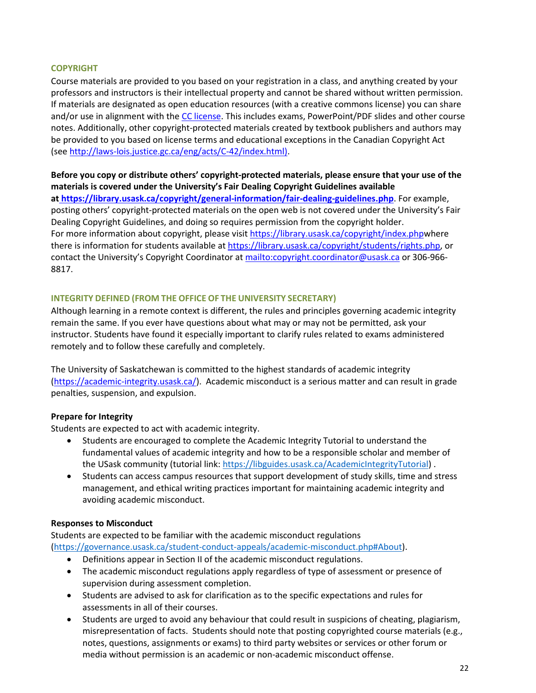## **COPYRIGHT**

Course materials are provided to you based on your registration in a class, and anything created by your professors and instructors is their intellectual property and cannot be shared without written permission. If materials are designated as open education resources (with a creative commons license) you can share and/or use in alignment with th[e CC license.](https://openpress.usask.ca/authoring/chapter/creative-commons-licenses/) This includes exams, PowerPoint/PDF slides and other course notes. Additionally, other copyright-protected materials created by textbook publishers and authors may be provided to you based on license terms and educational exceptions in the Canadian Copyright Act (se[e http://laws-lois.justice.gc.ca/eng/acts/C-42/index.html\).](http://laws-lois.justice.gc.ca/eng/acts/C-42/index.html)

**Before you copy or distribute others' copyright-protected materials, please ensure that your use of the materials is covered under the University's Fair Dealing Copyright Guidelines available a[t https://library.usask.ca/copyright/general-information/fair-dealing-guidelines.php](https://library.usask.ca/copyright/general-information/fair-dealing-guidelines.php)**. For example, posting others' copyright-protected materials on the open web is not covered under the University's Fair Dealing Copyright Guidelines, and doing so requires permission from the copyright holder. For more information about copyright, please visi[t https://library.usask.ca/copyright/index.phpw](https://library.usask.ca/copyright/index.php)here there is information for students available at [https://library.usask.ca/copyright/students/rights.php,](https://library.usask.ca/copyright/students/rights.php) or contact the University's Copyright Coordinator at<mailto:copyright.coordinator@usask.ca>or 306-966-8817.

# **INTEGRITY DEFINED (FROM THE OFFICE OF THE UNIVERSITY SECRETARY)**

Although learning in a remote context is different, the rules and principles governing academic integrity remain the same. If you ever have questions about what may or may not be permitted, ask your instructor. Students have found it especially important to clarify rules related to exams administered remotely and to follow these carefully and completely.

The University of Saskatchewan is committed to the highest standards of academic integrity [\(https://academic-integrity.usask.ca/\)](https://academic-integrity.usask.ca/). Academic misconduct is a serious matter and can result in grade penalties, suspension, and expulsion.

# **Prepare for Integrity**

Students are expected to act with academic integrity.

- Students are encouraged to complete the Academic Integrity Tutorial to understand the fundamental values of academic integrity and how to be a responsible scholar and member of the USask community (tutorial link: [https://libguides.usask.ca/AcademicIntegrityTutorial\)](https://libguides.usask.ca/AcademicIntegrityTutorial).
- Students can access campus resources that support development of study skills, time and stress management, and ethical writing practices important for maintaining academic integrity and avoiding academic misconduct.

### **Responses to Misconduct**

Students are expected to be familiar with the academic misconduct regulations [\(https://governance.usask.ca/student-conduct-appeals/academic-misconduct.php#About\)](https://governance.usask.ca/student-conduct-appeals/academic-misconduct.php#About).

- Definitions appear in Section II of the academic misconduct regulations.
- The academic misconduct regulations apply regardless of type of assessment or presence of supervision during assessment completion.
- Students are advised to ask for clarification as to the specific expectations and rules for assessments in all of their courses.
- Students are urged to avoid any behaviour that could result in suspicions of cheating, plagiarism, misrepresentation of facts. Students should note that posting copyrighted course materials (e.g., notes, questions, assignments or exams) to third party websites or services or other forum or media without permission is an academic or non-academic misconduct offense.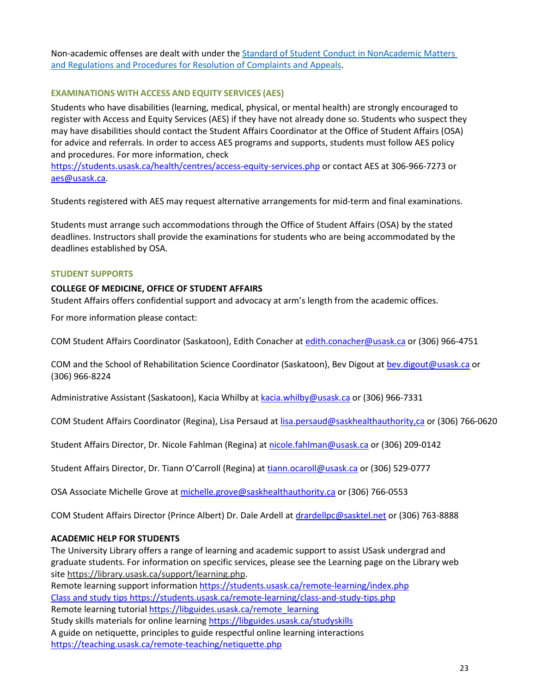Non-academic offenses are dealt with under th[e Standard of Student Conduct in NonAcademic Matters](https://governance.usask.ca/student-conduct-appeals/non-academic-misconduct.php)  [and Regulations and Procedures for Resolution of Complaints and Appeals.](https://governance.usask.ca/student-conduct-appeals/non-academic-misconduct.php)

# **EXAMINATIONS WITH ACCESS AND EQUITY SERVICES (AES)**

Students who have disabilities (learning, medical, physical, or mental health) are strongly encouraged to register with Access and Equity Services (AES) if they have not already done so. Students who suspect they may have disabilities should contact the Student Affairs Coordinator at the Office of Student Affairs (OSA) for advice and referrals. In order to access AES programs and supports, students must follow AES policy and procedures. For more information, check

<https://students.usask.ca/health/centres/access-equity-services.php>or contact AES at 306-966-7273 or aes@usask.ca.

Students registered with AES may request alternative arrangements for mid-term and final examinations.

Students must arrange such accommodations through the Office of Student Affairs (OSA) by the stated deadlines. Instructors shall provide the examinations for students who are being accommodated by the deadlines established by OSA.

## **STUDENT SUPPORTS**

# **COLLEGE OF MEDICINE, OFFICE OF STUDENT AFFAIRS**

Student Affairs offers confidential support and advocacy at arm's length from the academic offices.

For more information please contact:

COM Student Affairs Coordinator (Saskatoon), Edith Conacher at [edith.conacher@usask.ca o](mailto:edith.conacher@usask.ca)r (306) 966-4751

COM and the School of Rehabilitation Science Coordinator (Saskatoon), Bev Digout at [bev.digout@usask.ca](mailto:bev.digout@usask.ca) or (306) 966-8224

Administrative Assistant (Saskatoon), Kacia Whilby at [kacia.whilby@usask.ca](mailto:kacia.whilby@usask.ca) or (306) 966-7331

COM Student Affairs Coordinator (Regina), Lisa Persaud at [lisa.persaud@saskhealthauthority,ca](mailto:lisa.persaud@saskhealthauthority,ca) or (306) 766-0620

Student Affairs Director, Dr. Nicole Fahlman (Regina) a[t nicole.fahlman@usask.ca](mailto:nicole.fahlman@usask.ca) or (306) 209-0142

Student Affairs Director, Dr. Tiann O'Carroll (Regina) at [tiann.ocaroll@usask.ca](mailto:tiann.ocaroll@usask.ca) or (306) 529-0777

OSA Associate Michelle Grove at michelle.grove@saskhealthauthority.ca or (306) 766-0553

COM Student Affairs Director (Prince Albert) Dr. Dale Ardell a[t drardellpc@sasktel.net](mailto:drardellpc@sasktel.net) or (306) 763-8888

# **ACADEMIC HELP FOR STUDENTS**

The University Library offers a range of learning and academic support to assist USask undergrad and graduate students. For information on specific services, please see the Learning page on the Library web site [https://library.usask.ca/support/learning.php.](https://library.usask.ca/support/learning.php)

Remote learning support information<https://students.usask.ca/remote-learning/index.php> Class and study tips<https://students.usask.ca/remote-learning/class-and-study-tips.php> Remote learning tutoria[l https://libguides.usask.ca/remote\\_learning](https://libguides.usask.ca/remote_learning) Study skills materials for online learnin[g https://libguides.usask.ca/studyskills](https://libguides.usask.ca/studyskills)  A guide on netiquette, principles to guide respectful online learning interactions

<https://teaching.usask.ca/remote-teaching/netiquette.php>